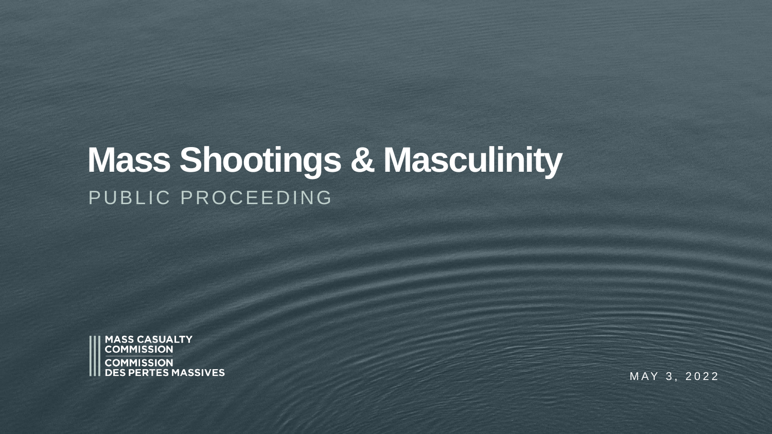# **Mass Shootings & Masculinity**  PUBLIC PROCEEDING



MAY 3, 2022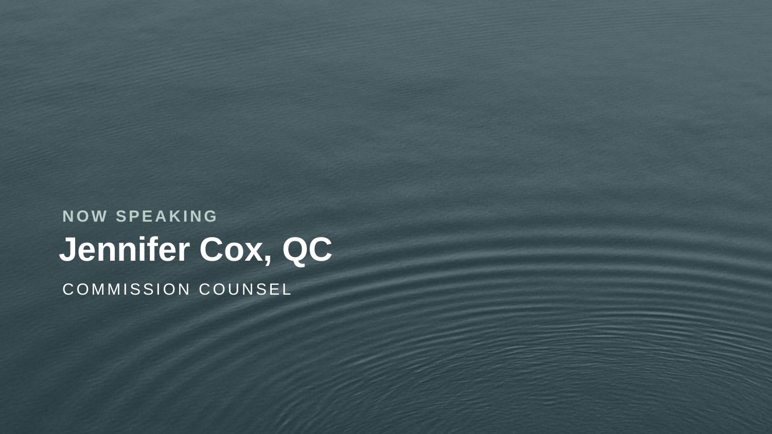**Jennifer Cox, QC N O W S P E A K I N G** COMMISSION COUNSEL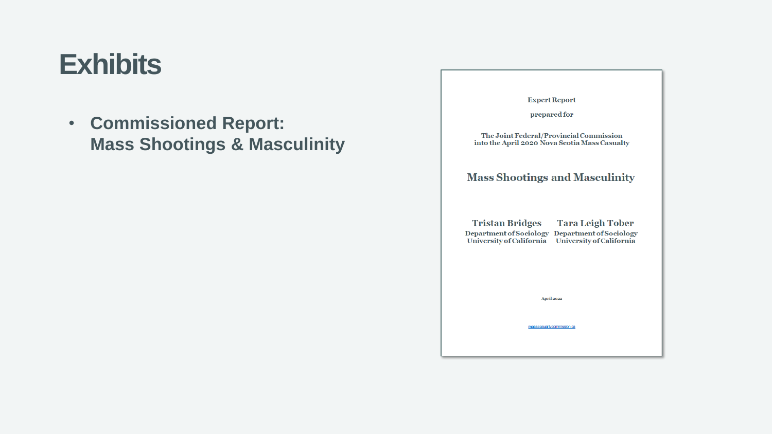# **Exhibits**

• **Commissioned Report: Mass Shootings & Masculinity** 

| <b>Expert Report</b>                                                                                                                     |
|------------------------------------------------------------------------------------------------------------------------------------------|
| prepared for                                                                                                                             |
| The Joint Federal/Provincial Commission<br>into the April 2020 Nova Scotia Mass Casualty                                                 |
| <b>Mass Shootings and Masculinity</b>                                                                                                    |
| Tristan Bridges Tara Leigh Tober<br>Department of Sociology Department of Sociology<br>University of California University of California |
| <b>April 2022</b>                                                                                                                        |
| masscasualtycommission.ca                                                                                                                |
|                                                                                                                                          |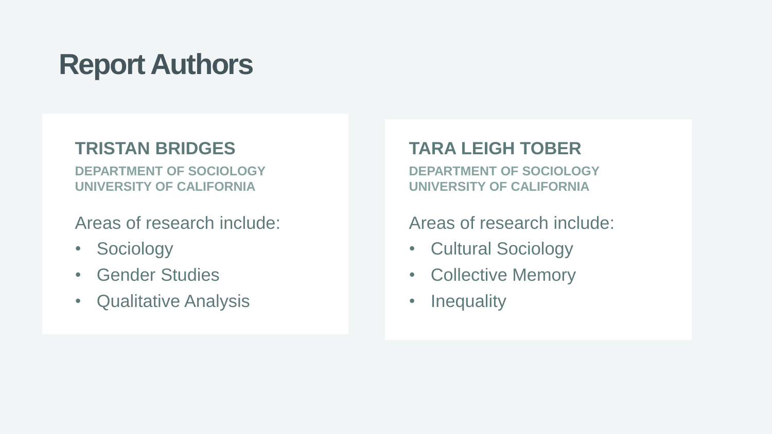# **Report Authors**

#### **TRISTAN BRIDGES**

**DEPARTMENT OF SOCIOLOGY UNIVERSITY OF CALIFORNIA**

Areas of research include:

- Sociology
- Gender Studies
- Qualitative Analysis

#### **TARA LEIGH TOBER**

**DEPARTMENT OF SOCIOLOGY UNIVERSITY OF CALIFORNIA**

#### Areas of research include:

- Cultural Sociology
- Collective Memory
- Inequality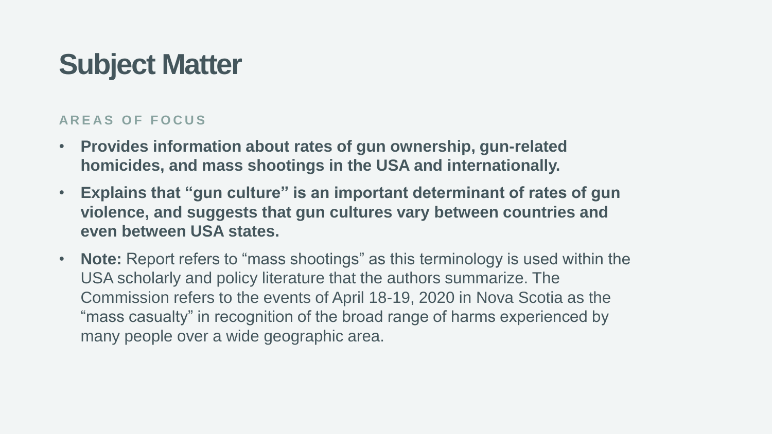# **Subject Matter**

#### **A R E A S O F F O C U S**

- **Provides information about rates of gun ownership, gun-related homicides, and mass shootings in the USA and internationally.**
- **Explains that "gun culture" is an important determinant of rates of gun violence, and suggests that gun cultures vary between countries and even between USA states.**
- **Note:** Report refers to "mass shootings" as this terminology is used within the USA scholarly and policy literature that the authors summarize. The Commission refers to the events of April 18-19, 2020 in Nova Scotia as the "mass casualty" in recognition of the broad range of harms experienced by many people over a wide geographic area.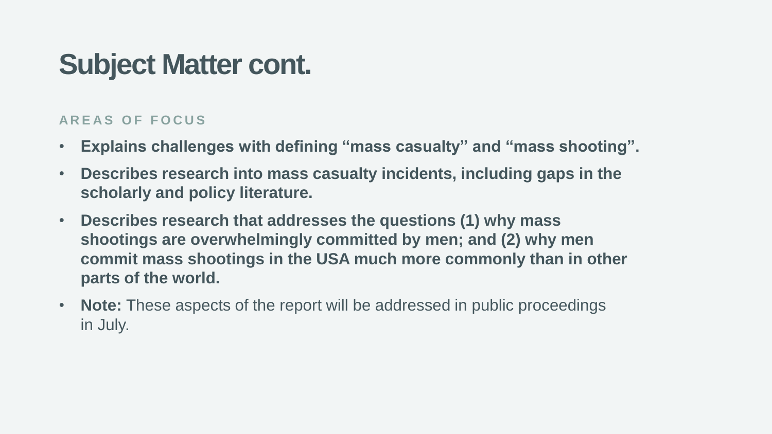## **Subject Matter cont.**

#### **A R E A S O F F O C U S**

- **Explains challenges with defining "mass casualty" and "mass shooting".**
- **Describes research into mass casualty incidents, including gaps in the scholarly and policy literature.**
- **Describes research that addresses the questions (1) why mass shootings are overwhelmingly committed by men; and (2) why men commit mass shootings in the USA much more commonly than in other parts of the world.**
- **Note:** These aspects of the report will be addressed in public proceedings in July.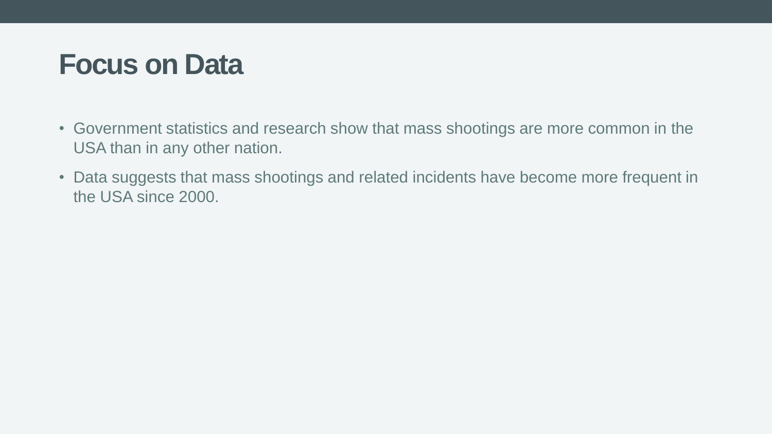#### **Focus on Data**

- Government statistics and research show that mass shootings are more common in the USA than in any other nation.
- Data suggests that mass shootings and related incidents have become more frequent in the USA since 2000.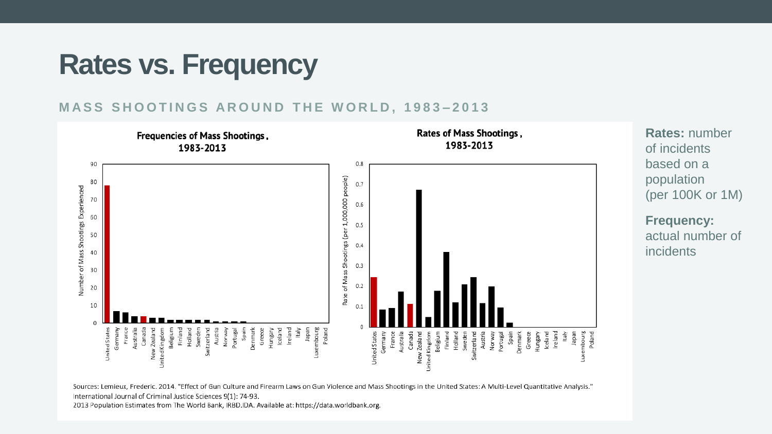## **Rates vs. Frequency**

#### **MASS SHOOTINGS AROUND THE WORLD, 1983-2013**



Sources: Lemieux, Frederic. 2014. "Effect of Gun Culture and Firearm Laws on Gun Violence and Mass Shootings in the United States: A Multi-Level Quantitative Analysis." International Journal of Criminal Justice Sciences 9(1): 74-93.

2013 Population Estimates from The World Bank, IRBD.IDA. Available at: https://data.worldbank.org.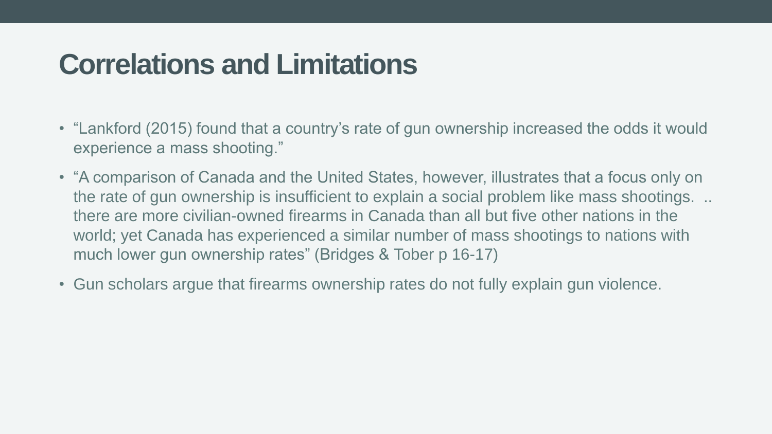## **Correlations and Limitations**

- "Lankford (2015) found that a country's rate of gun ownership increased the odds it would experience a mass shooting."
- "A comparison of Canada and the United States, however, illustrates that a focus only on the rate of gun ownership is insufficient to explain a social problem like mass shootings. .. there are more civilian-owned firearms in Canada than all but five other nations in the world; yet Canada has experienced a similar number of mass shootings to nations with much lower gun ownership rates" (Bridges & Tober p 16-17)
- Gun scholars argue that firearms ownership rates do not fully explain gun violence.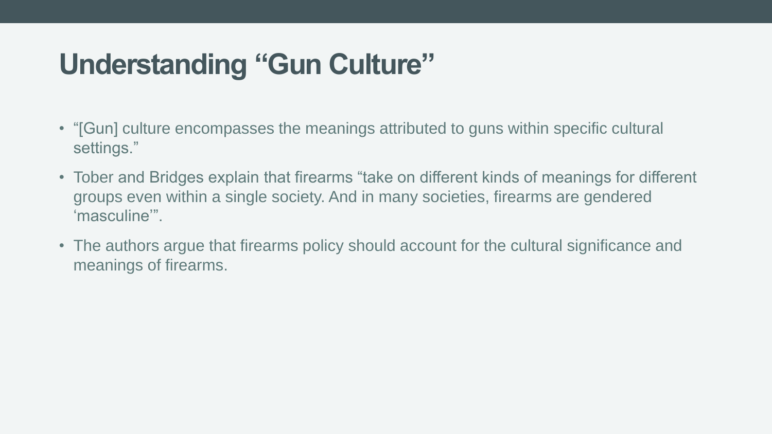# **Understanding "Gun Culture"**

- "[Gun] culture encompasses the meanings attributed to guns within specific cultural settings."
- Tober and Bridges explain that firearms "take on different kinds of meanings for different groups even within a single society. And in many societies, firearms are gendered 'masculine'".
- The authors argue that firearms policy should account for the cultural significance and meanings of firearms.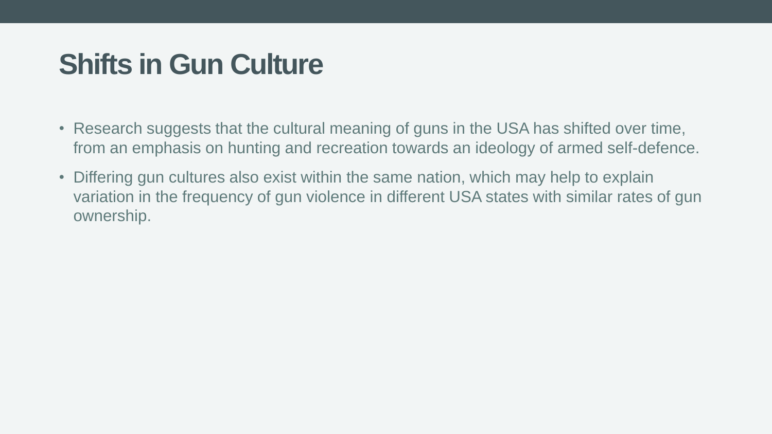## **Shifts in Gun Culture**

- Research suggests that the cultural meaning of guns in the USA has shifted over time, from an emphasis on hunting and recreation towards an ideology of armed self-defence.
- Differing gun cultures also exist within the same nation, which may help to explain variation in the frequency of gun violence in different USA states with similar rates of gun ownership.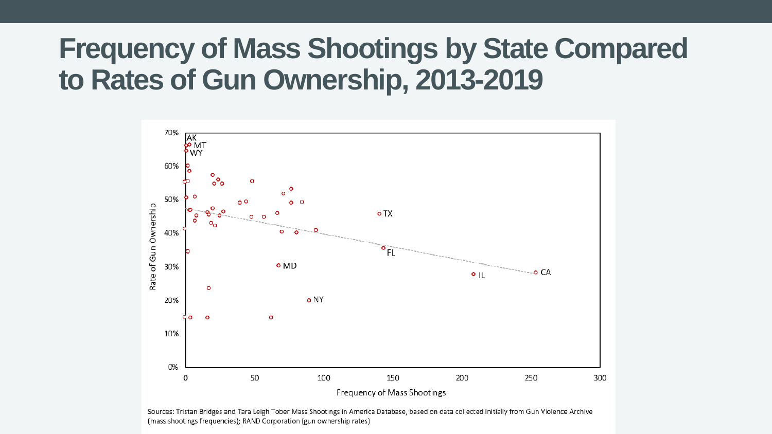### **Frequency of Mass Shootings by State Compared to Rates of Gun Ownership, 2013-2019**



Sources: Tristan Bridges and Tara Leigh Tober Mass Shootings in America Database, based on data collected initially from Gun Violence Archive (mass shootings frequencies); RAND Corporation (gun ownership rates)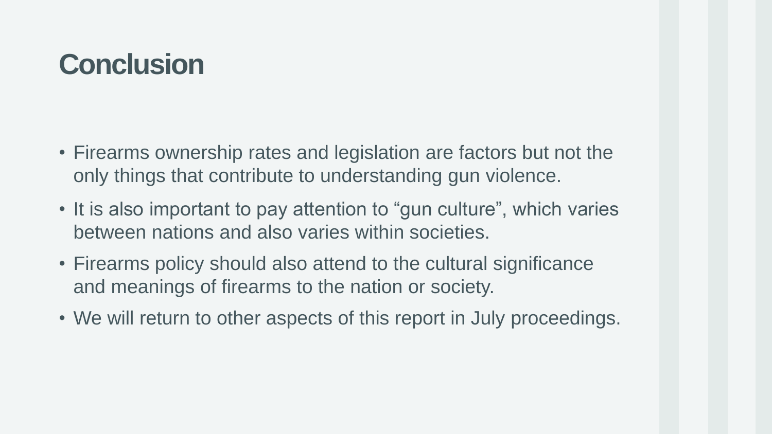# **Conclusion**

- Firearms ownership rates and legislation are factors but not the only things that contribute to understanding gun violence.
- It is also important to pay attention to "gun culture", which varies between nations and also varies within societies.
- Firearms policy should also attend to the cultural significance and meanings of firearms to the nation or society.
- We will return to other aspects of this report in July proceedings.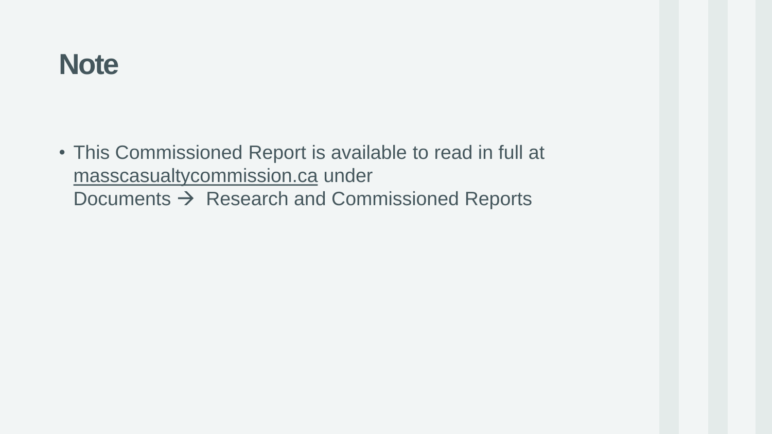### **Note**

• This Commissioned Report is available to read in full at masscasualtycommission.ca under Documents  $\rightarrow$  Research and Commissioned Reports